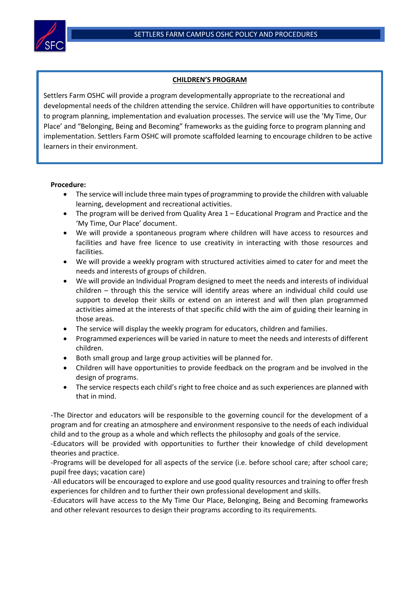

## **CHILDREN'S PROGRAM**

Settlers Farm OSHC will provide a program developmentally appropriate to the recreational and developmental needs of the children attending the service. Children will have opportunities to contribute to program planning, implementation and evaluation processes. The service will use the 'My Time, Our Place' and "Belonging, Being and Becoming" frameworks as the guiding force to program planning and implementation. Settlers Farm OSHC will promote scaffolded learning to encourage children to be active learners in their environment.

## **Procedure:**

- The service will include three main types of programming to provide the children with valuable learning, development and recreational activities.
- The program will be derived from Quality Area 1 Educational Program and Practice and the 'My Time, Our Place' document.
- We will provide a spontaneous program where children will have access to resources and facilities and have free licence to use creativity in interacting with those resources and facilities.
- We will provide a weekly program with structured activities aimed to cater for and meet the needs and interests of groups of children.
- We will provide an Individual Program designed to meet the needs and interests of individual children – through this the service will identify areas where an individual child could use support to develop their skills or extend on an interest and will then plan programmed activities aimed at the interests of that specific child with the aim of guiding their learning in those areas.
- The service will display the weekly program for educators, children and families.
- Programmed experiences will be varied in nature to meet the needs and interests of different children.
- Both small group and large group activities will be planned for.
- Children will have opportunities to provide feedback on the program and be involved in the design of programs.
- The service respects each child's right to free choice and as such experiences are planned with that in mind.

-The Director and educators will be responsible to the governing council for the development of a program and for creating an atmosphere and environment responsive to the needs of each individual child and to the group as a whole and which reflects the philosophy and goals of the service.

-Educators will be provided with opportunities to further their knowledge of child development theories and practice.

-Programs will be developed for all aspects of the service (i.e. before school care; after school care; pupil free days; vacation care)

-All educators will be encouraged to explore and use good quality resources and training to offer fresh experiences for children and to further their own professional development and skills.

-Educators will have access to the My Time Our Place, Belonging, Being and Becoming frameworks and other relevant resources to design their programs according to its requirements.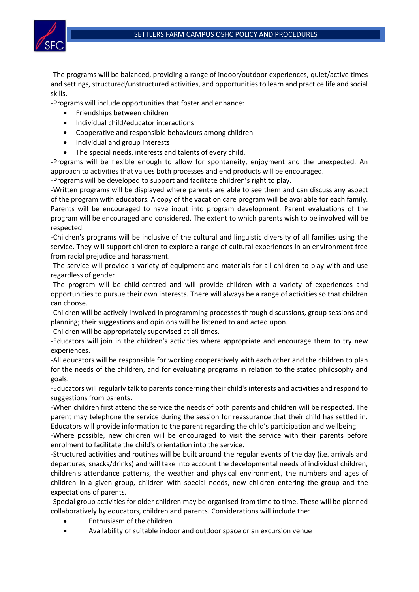

-The programs will be balanced, providing a range of indoor/outdoor experiences, quiet/active times and settings, structured/unstructured activities, and opportunities to learn and practice life and social skills.

-Programs will include opportunities that foster and enhance:

- Friendships between children
- Individual child/educator interactions
- Cooperative and responsible behaviours among children
- Individual and group interests
- The special needs, interests and talents of every child.

-Programs will be flexible enough to allow for spontaneity, enjoyment and the unexpected. An approach to activities that values both processes and end products will be encouraged.

-Programs will be developed to support and facilitate children's right to play.

-Written programs will be displayed where parents are able to see them and can discuss any aspect of the program with educators. A copy of the vacation care program will be available for each family. Parents will be encouraged to have input into program development. Parent evaluations of the program will be encouraged and considered. The extent to which parents wish to be involved will be respected.

-Children's programs will be inclusive of the cultural and linguistic diversity of all families using the service. They will support children to explore a range of cultural experiences in an environment free from racial prejudice and harassment.

-The service will provide a variety of equipment and materials for all children to play with and use regardless of gender.

-The program will be child-centred and will provide children with a variety of experiences and opportunities to pursue their own interests. There will always be a range of activities so that children can choose.

-Children will be actively involved in programming processes through discussions, group sessions and planning; their suggestions and opinions will be listened to and acted upon.

-Children will be appropriately supervised at all times.

-Educators will join in the children's activities where appropriate and encourage them to try new experiences.

-All educators will be responsible for working cooperatively with each other and the children to plan for the needs of the children, and for evaluating programs in relation to the stated philosophy and goals.

-Educators will regularly talk to parents concerning their child's interests and activities and respond to suggestions from parents.

-When children first attend the service the needs of both parents and children will be respected. The parent may telephone the service during the session for reassurance that their child has settled in. Educators will provide information to the parent regarding the child's participation and wellbeing.

-Where possible, new children will be encouraged to visit the service with their parents before enrolment to facilitate the child's orientation into the service.

-Structured activities and routines will be built around the regular events of the day (i.e. arrivals and departures, snacks/drinks) and will take into account the developmental needs of individual children, children's attendance patterns, the weather and physical environment, the numbers and ages of children in a given group, children with special needs, new children entering the group and the expectations of parents.

-Special group activities for older children may be organised from time to time. These will be planned collaboratively by educators, children and parents. Considerations will include the:

- Enthusiasm of the children
- Availability of suitable indoor and outdoor space or an excursion venue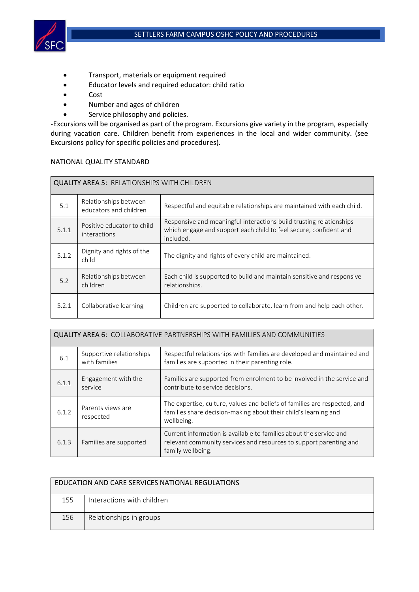

- Transport, materials or equipment required
- Educator levels and required educator: child ratio
- Cost
- Number and ages of children
- Service philosophy and policies.

-Excursions will be organised as part of the program. Excursions give variety in the program, especially during vacation care. Children benefit from experiences in the local and wider community. (see Excursions policy for specific policies and procedures).

## NATIONAL QUALITY STANDARD

| <b>QUALITY AREA 5: RELATIONSHIPS WITH CHILDREN</b> |                                                 |                                                                                                                                                       |  |  |
|----------------------------------------------------|-------------------------------------------------|-------------------------------------------------------------------------------------------------------------------------------------------------------|--|--|
| 5.1                                                | Relationships between<br>educators and children | Respectful and equitable relationships are maintained with each child.                                                                                |  |  |
| 5.1.1                                              | Positive educator to child<br>interactions      | Responsive and meaningful interactions build trusting relationships<br>which engage and support each child to feel secure, confident and<br>included. |  |  |
| 5.1.2                                              | Dignity and rights of the<br>child              | The dignity and rights of every child are maintained.                                                                                                 |  |  |
| 5.2                                                | Relationships between<br>children               | Each child is supported to build and maintain sensitive and responsive<br>relationships.                                                              |  |  |
| 5.2.1                                              | Collaborative learning                          | Children are supported to collaborate, learn from and help each other.                                                                                |  |  |

| <b>QUALITY AREA 6: COLLABORATIVE PARTNERSHIPS WITH FAMILIES AND COMMUNITIES</b> |                                           |                                                                                                                                                               |  |  |
|---------------------------------------------------------------------------------|-------------------------------------------|---------------------------------------------------------------------------------------------------------------------------------------------------------------|--|--|
| 6.1                                                                             | Supportive relationships<br>with families | Respectful relationships with families are developed and maintained and<br>families are supported in their parenting role.                                    |  |  |
| 6.1.1                                                                           | Engagement with the<br>service            | Families are supported from enrolment to be involved in the service and<br>contribute to service decisions.                                                   |  |  |
| 6.1.2                                                                           | Parents views are<br>respected            | The expertise, culture, values and beliefs of families are respected, and<br>families share decision-making about their child's learning and<br>wellbeing.    |  |  |
| 6.1.3                                                                           | Families are supported                    | Current information is available to families about the service and<br>relevant community services and resources to support parenting and<br>family wellbeing. |  |  |

| EDUCATION AND CARE SERVICES NATIONAL REGULATIONS |                            |  |  |  |
|--------------------------------------------------|----------------------------|--|--|--|
| 155                                              | Interactions with children |  |  |  |
| 156                                              | Relationships in groups    |  |  |  |